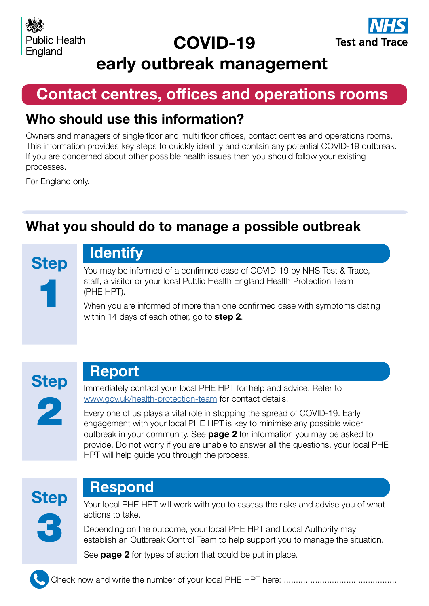# COVID-19



early outbreak management

# Contact centres, offices and operations rooms

### Who should use this information?

Owners and managers of single floor and multi floor offices, contact centres and operations rooms. This information provides key steps to quickly identify and contain any potential COVID-19 outbreak. If you are concerned about other possible health issues then you should follow your existing processes.

For England only.

### What you should do to manage a possible outbreak

**Step** 1

# **Identify**

You may be informed of a confirmed case of COVID-19 by NHS Test & Trace, staff, a visitor or your local Public Health England Health Protection Team (PHE HPT).

When you are informed of more than one confirmed case with symptoms dating within 14 days of each other, go to **step 2**.



### Report

Immediately contact your local PHE HPT for help and advice. Refer to [www.gov.uk/health-protection-team](https://www.gov.uk/health-protection-team) for contact details.

Every one of us plays a vital role in stopping the spread of COVID-19. Early engagement with your local PHE HPT is key to minimise any possible wider outbreak in your community. See **page 2** for information you may be asked to provide. Do not worry if you are unable to answer all the questions, your local PHE HPT will help guide you through the process.



### Respond

Your local PHE HPT will work with you to assess the risks and advise you of what actions to take.

Depending on the outcome, your local PHE HPT and Local Authority may establish an Outbreak Control Team to help support you to manage the situation.

See **page 2** for types of action that could be put in place.